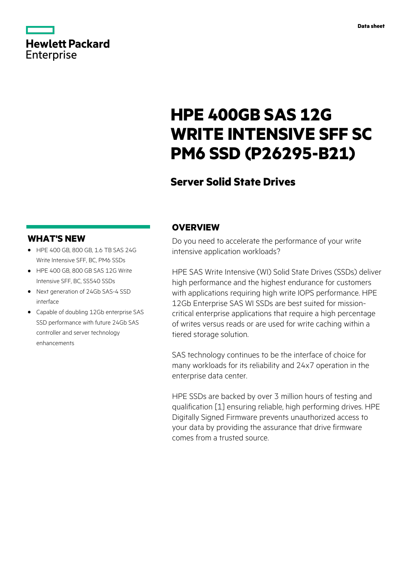

# **Hewlett Packard** Enterprise

# **HPE 400GB SAS 12G WRITE INTENSIVE SFF SC PM6 SSD (P26295-B21)**

# **Server Solid State Drives**

# **WHAT'S NEW**

- **·** HPE 400 GB, 800 GB, 1.6 TB SAS 24G Write Intensive SFF, BC, PM6 SSDs
- **·** HPE 400 GB, 800 GB SAS 12G Write Intensive SFF, BC, SS540 SSDs
- **·** Next generation of 24Gb SAS-4 SSD interface
- **·** Capable of doubling 12Gb enterprise SAS SSD performance with future 24Gb SAS controller and server technology enhancements

## **OVERVIEW**

Do you need to accelerate the performance of your write intensive application workloads?

HPE SAS Write Intensive (WI) Solid State Drives (SSDs) deliver high performance and the highest endurance for customers with applications requiring high write IOPS performance. HPE 12Gb Enterprise SAS WI SSDs are best suited for missioncritical enterprise applications that require a high percentage of writes versus reads or are used for write caching within a tiered storage solution.

SAS technology continues to be the interface of choice for many workloads for its reliability and 24x7 operation in the enterprise data center.

HPE SSDs are backed by over 3 million hours of testing and qualification [1] ensuring reliable, high performing drives. HPE Digitally Signed Firmware prevents unauthorized access to your data by providing the assurance that drive firmware comes from a trusted source.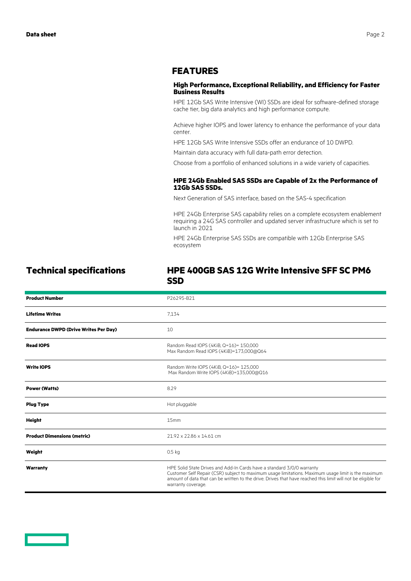### **FEATURES**

### **High Performance, Exceptional Reliability, and Efficiency for Faster Business Results**

HPE 12Gb SAS Write Intensive (WI) SSDs are ideal for software-defined storage cache tier, big data analytics and high performance compute.

Achieve higher IOPS and lower latency to enhance the performance of your data center.

HPE 12Gb SAS Write Intensive SSDs offer an endurance of 10 DWPD.

Maintain data accuracy with full data-path error detection.

Choose from a portfolio of enhanced solutions in a wide variety of capacities.

### **HPE 24Gb Enabled SAS SSDs are Capable of 2x the Performance of 12Gb SAS SSDs.**

Next Generation of SAS interface, based on the SAS-4 specification

HPE 24Gb Enterprise SAS capability relies on a complete ecosystem enablement requiring a 24G SAS controller and updated server infrastructure which is set to launch in 2021

HPE 24Gb Enterprise SAS SSDs are compatible with 12Gb Enterprise SAS ecosystem

### **Technical specifications HPE 400GB SAS 12G Write Intensive SFF SC PM6 SSD**

| <b>Product Number</b>                        | P26295-B21                                                                                                                                                                                                                                                                                                           |
|----------------------------------------------|----------------------------------------------------------------------------------------------------------------------------------------------------------------------------------------------------------------------------------------------------------------------------------------------------------------------|
| <b>Lifetime Writes</b>                       | 7.134                                                                                                                                                                                                                                                                                                                |
| <b>Endurance DWPD (Drive Writes Per Day)</b> | 10                                                                                                                                                                                                                                                                                                                   |
| <b>Read IOPS</b>                             | Random Read IOPS (4KiB, Q=16)= 150,000<br>Max Random Read IOPS (4KiB)=173,000@Q64                                                                                                                                                                                                                                    |
| <b>Write IOPS</b>                            | Random Write IOPS (4KiB, Q=16)= 125,000<br>Max Random Write IOPS (4KiB)=135,000@Q16                                                                                                                                                                                                                                  |
| <b>Power (Watts)</b>                         | 8.29                                                                                                                                                                                                                                                                                                                 |
| <b>Plug Type</b>                             | Hot pluggable                                                                                                                                                                                                                                                                                                        |
| <b>Height</b>                                | 15mm                                                                                                                                                                                                                                                                                                                 |
| <b>Product Dimensions (metric)</b>           | 21.92 x 22.86 x 14.61 cm                                                                                                                                                                                                                                                                                             |
| Weight                                       | 0.5 <sub>kq</sub>                                                                                                                                                                                                                                                                                                    |
| Warranty                                     | HPE Solid State Drives and Add-In Cards have a standard 3/0/0 warranty<br>Customer Self Repair (CSR) subject to maximum usage limitations. Maximum usage limit is the maximum<br>amount of data that can be written to the drive. Drives that have reached this limit will not be eligible for<br>warranty coverage. |